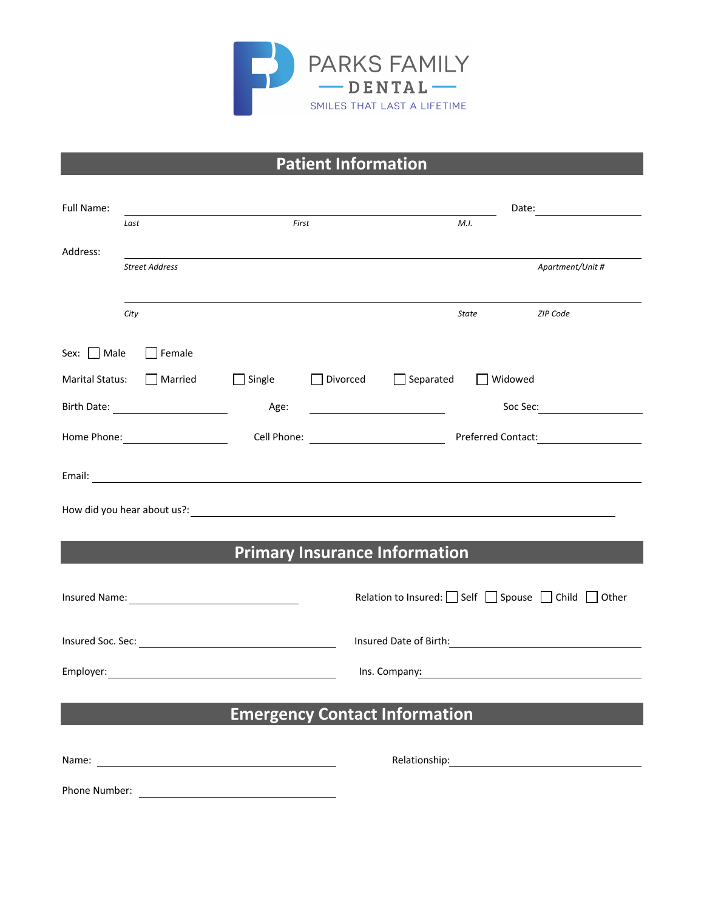

## **Patient Information**

| Full Name: |                           |                                      |                                            | Date: <u>_______</u>   |         |                                                                                                                                                                                                                                |
|------------|---------------------------|--------------------------------------|--------------------------------------------|------------------------|---------|--------------------------------------------------------------------------------------------------------------------------------------------------------------------------------------------------------------------------------|
|            | Last                      | First                                |                                            | M.I.                   |         |                                                                                                                                                                                                                                |
| Address:   |                           |                                      |                                            |                        |         |                                                                                                                                                                                                                                |
|            | <b>Street Address</b>     |                                      |                                            |                        |         | Apartment/Unit #                                                                                                                                                                                                               |
|            |                           |                                      |                                            |                        |         |                                                                                                                                                                                                                                |
|            | City                      |                                      |                                            |                        | State   | <b>ZIP Code</b>                                                                                                                                                                                                                |
|            | Sex: Male Female          |                                      |                                            |                        |         |                                                                                                                                                                                                                                |
|            | Marital Status:   Married | $\Box$ Single                        |                                            | □ Divorced □ Separated | Widowed |                                                                                                                                                                                                                                |
|            |                           | Age:                                 | <u> 1989 - Johann Barbara, martin eta </u> |                        |         | Soc Sec: <u>with a second section</u>                                                                                                                                                                                          |
|            | Home Phone: 2000          |                                      |                                            |                        |         |                                                                                                                                                                                                                                |
|            |                           |                                      |                                            |                        |         |                                                                                                                                                                                                                                |
|            |                           |                                      |                                            |                        |         |                                                                                                                                                                                                                                |
|            |                           |                                      |                                            |                        |         |                                                                                                                                                                                                                                |
|            |                           |                                      |                                            |                        |         |                                                                                                                                                                                                                                |
|            |                           |                                      | <b>Primary Insurance Information</b>       |                        |         |                                                                                                                                                                                                                                |
|            |                           |                                      |                                            |                        |         | Relation to Insured: Self Spouse Child Other                                                                                                                                                                                   |
|            |                           |                                      |                                            |                        |         |                                                                                                                                                                                                                                |
|            |                           |                                      |                                            |                        |         | Insured Date of Birth: North and South Assembly to the United States of Birth:                                                                                                                                                 |
|            |                           |                                      |                                            |                        |         | Ins. Company: 2008 2014 2022 2023 2024 2024 2022 2022 2023 2024 2022 2023 2024 2022 2023 2024 2025 2026 2027 20                                                                                                                |
|            |                           |                                      |                                            |                        |         |                                                                                                                                                                                                                                |
|            |                           | <b>Emergency Contact Information</b> |                                            |                        |         |                                                                                                                                                                                                                                |
|            |                           |                                      |                                            |                        |         |                                                                                                                                                                                                                                |
|            |                           |                                      |                                            |                        |         | Relationship: Note and the set of the set of the set of the set of the set of the set of the set of the set of the set of the set of the set of the set of the set of the set of the set of the set of the set of the set of t |
|            |                           |                                      |                                            |                        |         |                                                                                                                                                                                                                                |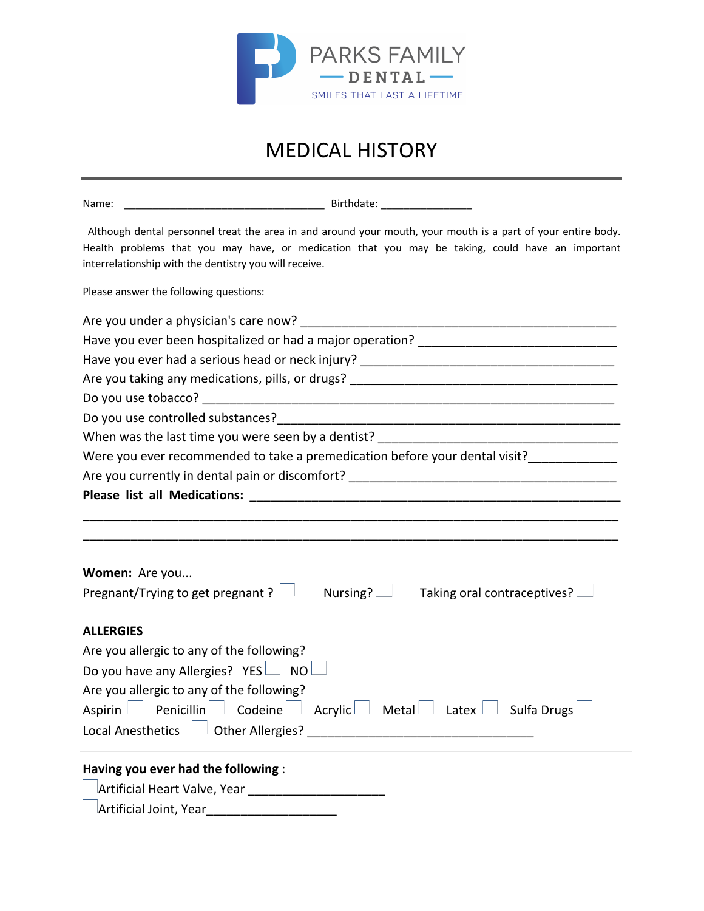

## MEDICAL HISTORY

| Name:                                                                                                                                                                                                                                                                      |  |  |  |  |  |  |  |  |
|----------------------------------------------------------------------------------------------------------------------------------------------------------------------------------------------------------------------------------------------------------------------------|--|--|--|--|--|--|--|--|
| Although dental personnel treat the area in and around your mouth, your mouth is a part of your entire body.<br>Health problems that you may have, or medication that you may be taking, could have an important<br>interrelationship with the dentistry you will receive. |  |  |  |  |  |  |  |  |
| Please answer the following questions:                                                                                                                                                                                                                                     |  |  |  |  |  |  |  |  |
|                                                                                                                                                                                                                                                                            |  |  |  |  |  |  |  |  |
|                                                                                                                                                                                                                                                                            |  |  |  |  |  |  |  |  |
|                                                                                                                                                                                                                                                                            |  |  |  |  |  |  |  |  |
|                                                                                                                                                                                                                                                                            |  |  |  |  |  |  |  |  |
|                                                                                                                                                                                                                                                                            |  |  |  |  |  |  |  |  |
|                                                                                                                                                                                                                                                                            |  |  |  |  |  |  |  |  |
|                                                                                                                                                                                                                                                                            |  |  |  |  |  |  |  |  |
| Were you ever recommended to take a premedication before your dental visit?                                                                                                                                                                                                |  |  |  |  |  |  |  |  |
| Are you currently in dental pain or discomfort? _________________________________                                                                                                                                                                                          |  |  |  |  |  |  |  |  |
|                                                                                                                                                                                                                                                                            |  |  |  |  |  |  |  |  |
|                                                                                                                                                                                                                                                                            |  |  |  |  |  |  |  |  |
|                                                                                                                                                                                                                                                                            |  |  |  |  |  |  |  |  |
| Women: Are you                                                                                                                                                                                                                                                             |  |  |  |  |  |  |  |  |
| Pregnant/Trying to get pregnant ? $\Box$<br>Nursing? $\Box$ Taking oral contraceptives? $\Box$                                                                                                                                                                             |  |  |  |  |  |  |  |  |
| <b>ALLERGIES</b>                                                                                                                                                                                                                                                           |  |  |  |  |  |  |  |  |
| Are you allergic to any of the following?                                                                                                                                                                                                                                  |  |  |  |  |  |  |  |  |
| Do you have any Allergies? YES $\Box$ NO $\Box$                                                                                                                                                                                                                            |  |  |  |  |  |  |  |  |
| Are you allergic to any of the following?                                                                                                                                                                                                                                  |  |  |  |  |  |  |  |  |
| Aspirin $\Box$ Penicillin $\Box$ Codeine $\Box$ Acrylic $\Box$ Metal $\Box$ Latex $\Box$ Sulfa Drugs $\Box$                                                                                                                                                                |  |  |  |  |  |  |  |  |
|                                                                                                                                                                                                                                                                            |  |  |  |  |  |  |  |  |
| Having you ever had the following :                                                                                                                                                                                                                                        |  |  |  |  |  |  |  |  |
|                                                                                                                                                                                                                                                                            |  |  |  |  |  |  |  |  |
| Artificial Joint, Year_______________________                                                                                                                                                                                                                              |  |  |  |  |  |  |  |  |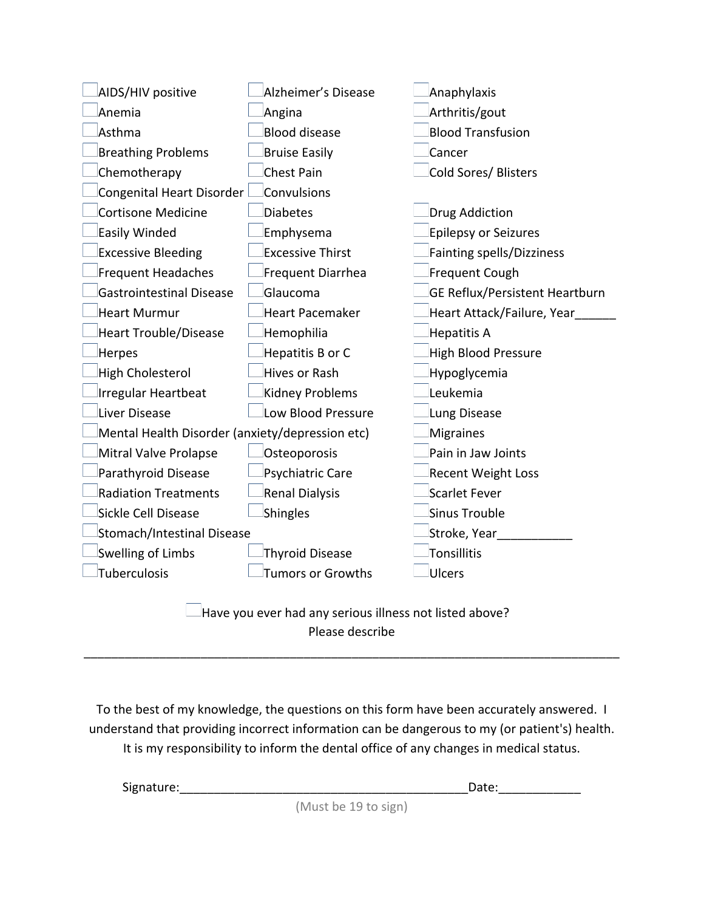| AIDS/HIV positive                               | Alzheimer's Disease      | Anaphylaxis                      |
|-------------------------------------------------|--------------------------|----------------------------------|
| Anemia                                          | Angina                   | Arthritis/gout                   |
| Asthma                                          | <b>Blood disease</b>     | <b>Blood Transfusion</b>         |
| <b>Breathing Problems</b>                       | <b>Bruise Easily</b>     | Cancer                           |
| Chemotherapy                                    | <b>Chest Pain</b>        | Cold Sores/ Blisters             |
| Congenital Heart Disorder                       | Convulsions              |                                  |
| <b>Cortisone Medicine</b>                       | <b>Diabetes</b>          | <b>Drug Addiction</b>            |
| Easily Winded                                   | Emphysema                | Epilepsy or Seizures             |
| <b>Excessive Bleeding</b>                       | <b>Excessive Thirst</b>  | <b>Fainting spells/Dizziness</b> |
| <b>Frequent Headaches</b>                       | Frequent Diarrhea        | Frequent Cough                   |
| <b>Gastrointestinal Disease</b>                 | Glaucoma                 | GE Reflux/Persistent Heartburn   |
| Heart Murmur                                    | <b>Heart Pacemaker</b>   | Heart Attack/Failure, Year       |
| <b>Heart Trouble/Disease</b>                    | Hemophilia               | Hepatitis A                      |
| Herpes                                          | Hepatitis B or C         | <b>High Blood Pressure</b>       |
| High Cholesterol                                | Hives or Rash            | Hypoglycemia                     |
| <b>Irregular Heartbeat</b>                      | Kidney Problems          | Leukemia                         |
| Liver Disease                                   | Low Blood Pressure       | Lung Disease                     |
| Mental Health Disorder (anxiety/depression etc) |                          | Migraines                        |
| Mitral Valve Prolapse                           | Osteoporosis             | Pain in Jaw Joints               |
| Parathyroid Disease                             | Psychiatric Care         | <b>Recent Weight Loss</b>        |
| <b>Radiation Treatments</b>                     | Renal Dialysis           | Scarlet Fever                    |
| Sickle Cell Disease                             | Shingles                 | Sinus Trouble                    |
| Stomach/Intestinal Disease                      |                          | Stroke, Year_                    |
| Swelling of Limbs                               | <b>Thyroid Disease</b>   | Tonsillitis                      |
| Tuberculosis                                    | <b>Tumors or Growths</b> | Ulcers                           |
| ٠.                                              |                          |                                  |

 $\Box$  Have you ever had any serious illness not listed above? Please describe

\_\_\_\_\_\_\_\_\_\_\_\_\_\_\_\_\_\_\_\_\_\_\_\_\_\_\_\_\_\_\_\_\_\_\_\_\_\_\_\_\_\_\_\_\_\_\_\_\_\_\_\_\_\_\_\_\_\_\_\_\_\_\_\_\_\_\_\_\_\_\_\_\_\_\_\_\_\_

To the best of my knowledge, the questions on this form have been accurately answered. I understand that providing incorrect information can be dangerous to my (or patient's) health. It is my responsibility to inform the dental office of any changes in medical status.

Signature:\_\_\_\_\_\_\_\_\_\_\_\_\_\_\_\_\_\_\_\_\_\_\_\_\_\_\_\_\_\_\_\_\_\_\_\_\_\_\_\_\_\_Date:\_\_\_\_\_\_\_\_\_\_\_\_

(Must be 19 to sign)